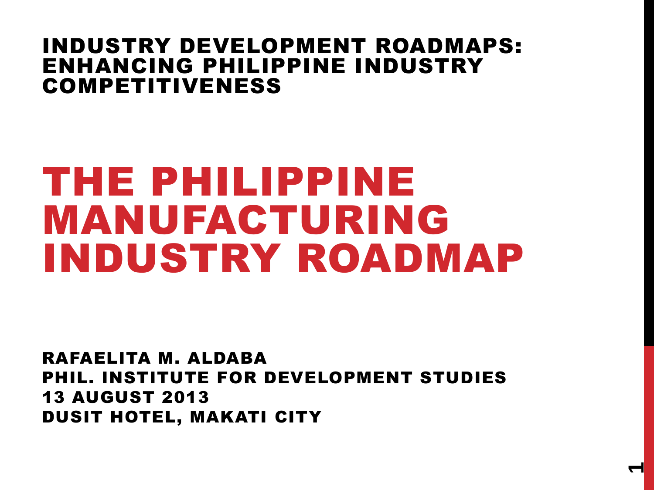#### INDUSTRY DEVELOPMENT ROADMAPS: ENHANCING PHILIPPINE INDUSTRY COMPETITIVENESS

# THE PHILIPPINE MANUFACTURING INDUSTRY ROADMAP

RAFAELITA M. ALDABA PHIL. INSTITUTE FOR DEVELOPMENT STUDIES 13 AUGUST 2013 DUSIT HOTEL, MAKATI CITY

**1**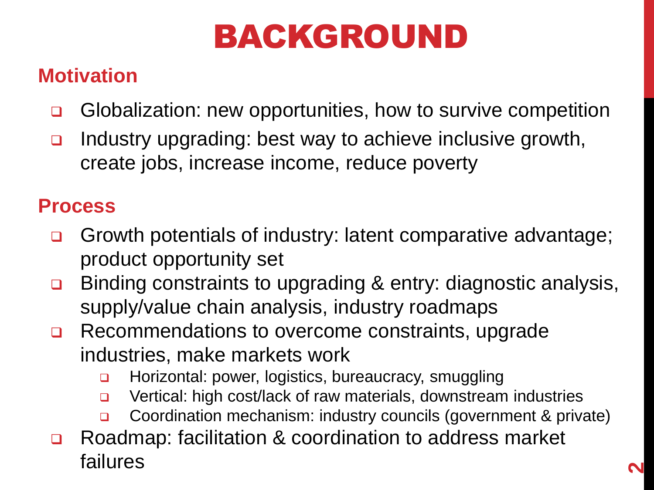# BACKGROUND

#### **Motivation**

- Globalization: new opportunities, how to survive competition
- Industry upgrading: best way to achieve inclusive growth, create jobs, increase income, reduce poverty

#### **Process**

- Growth potentials of industry: latent comparative advantage; product opportunity set
- □ Binding constraints to upgrading & entry: diagnostic analysis, supply/value chain analysis, industry roadmaps
- Recommendations to overcome constraints, upgrade industries, make markets work
	- Horizontal: power, logistics, bureaucracy, smuggling
	- □ Vertical: high cost/lack of raw materials, downstream industries
	- Coordination mechanism: industry councils (government & private)
- Roadmap: facilitation & coordination to address market failures **<sup>2</sup>**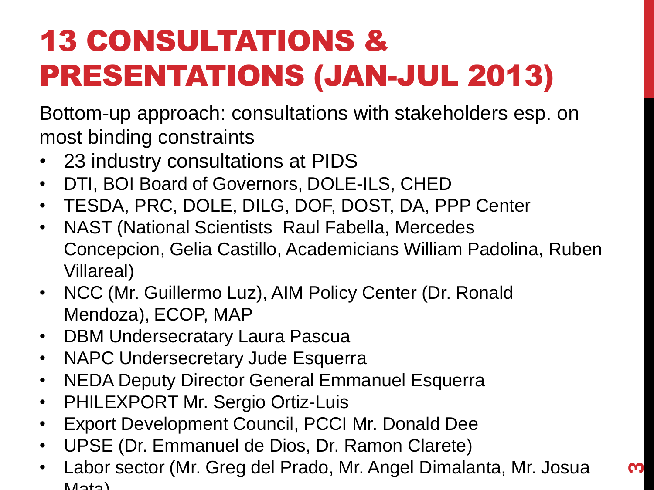# 13 CONSULTATIONS & PRESENTATIONS (JAN-JUL 2013)

Bottom-up approach: consultations with stakeholders esp. on most binding constraints

- 23 industry consultations at PIDS
- DTI, BOI Board of Governors, DOLE-ILS, CHED
- TESDA, PRC, DOLE, DILG, DOF, DOST, DA, PPP Center
- NAST (National Scientists Raul Fabella, Mercedes Concepcion, Gelia Castillo, Academicians William Padolina, Ruben Villareal)
- NCC (Mr. Guillermo Luz), AIM Policy Center (Dr. Ronald Mendoza), ECOP, MAP
- DBM Undersecratary Laura Pascua
- NAPC Undersecretary Jude Esquerra
- NEDA Deputy Director General Emmanuel Esquerra
- PHILEXPORT Mr. Sergio Ortiz-Luis
- Export Development Council, PCCI Mr. Donald Dee
- UPSE (Dr. Emmanuel de Dios, Dr. Ramon Clarete)
- Labor sector (Mr. Greg del Prado, Mr. Angel Dimalanta, Mr. Josua  $M<sub>0</sub>$

**ო**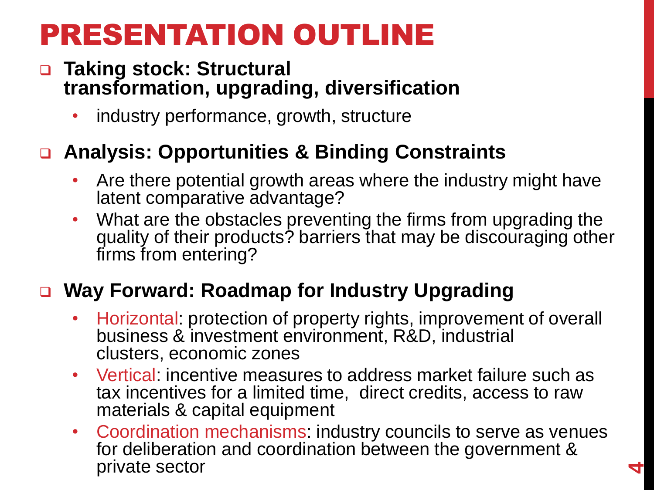### PRESENTATION OUTLINE

#### **Taking stock: Structural transformation, upgrading, diversification**

industry performance, growth, structure

#### **Analysis: Opportunities & Binding Constraints**

- Are there potential growth areas where the industry might have latent comparative advantage?
- What are the obstacles preventing the firms from upgrading the quality of their products? barriers that may be discouraging other firms from entering?

#### **Way Forward: Roadmap for Industry Upgrading**

- Horizontal: protection of property rights, improvement of overall business & investment environment, R&D, industrial clusters, economic zones
- Vertical: incentive measures to address market failure such as tax incentives for a limited time, direct credits, access to raw materials & capital equipment
- Coordination mechanisms: industry councils to serve as venues for deliberation and coordination between the government & private sector **4**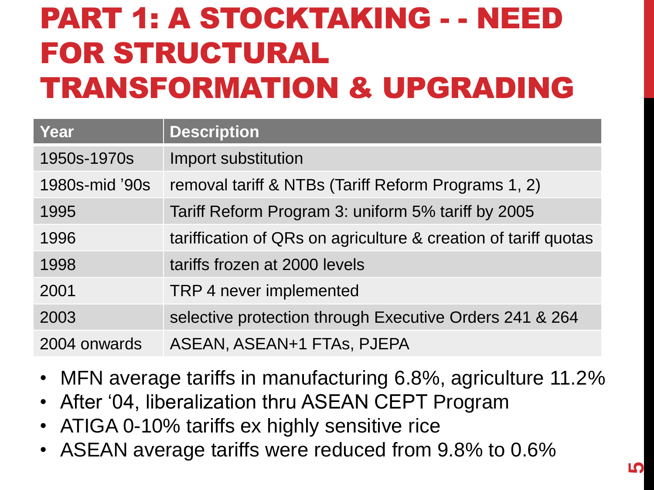## PART 1: A STOCKTAKING - - NEED FOR STRUCTURAL TRANSFORMATION & UPGRADING

| Year           | <b>Description</b>                                              |
|----------------|-----------------------------------------------------------------|
| 1950s-1970s    | Import substitution                                             |
| 1980s-mid '90s | removal tariff & NTBs (Tariff Reform Programs 1, 2)             |
| 1995           | Tariff Reform Program 3: uniform 5% tariff by 2005              |
| 1996           | tariffication of QRs on agriculture & creation of tariff quotas |
| 1998           | tariffs frozen at 2000 levels                                   |
| 2001           | TRP 4 never implemented                                         |
| 2003           | selective protection through Executive Orders 241 & 264         |
| 2004 onwards   | ASEAN, ASEAN+1 FTAS, PJEPA                                      |

- MFN average tariffs in manufacturing 6.8%, agriculture 11.2%
- After "04, liberalization thru ASEAN CEPT Program
- ATIGA 0-10% tariffs ex highly sensitive rice
- ASEAN average tariffs were reduced from 9.8% to 0.6%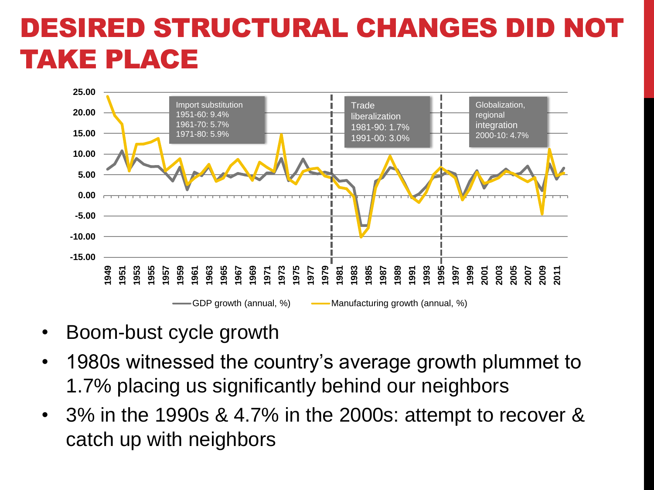#### DESIRED STRUCTURAL CHANGES DID TAKE PLACE



- Boom-bust cycle growth
- 1980s witnessed the country's average growth plummet to 1.7% placing us significantly behind our neighbors
- 3% in the 1990s & 4.7% in the 2000s: attempt to recover & catch up with neighbors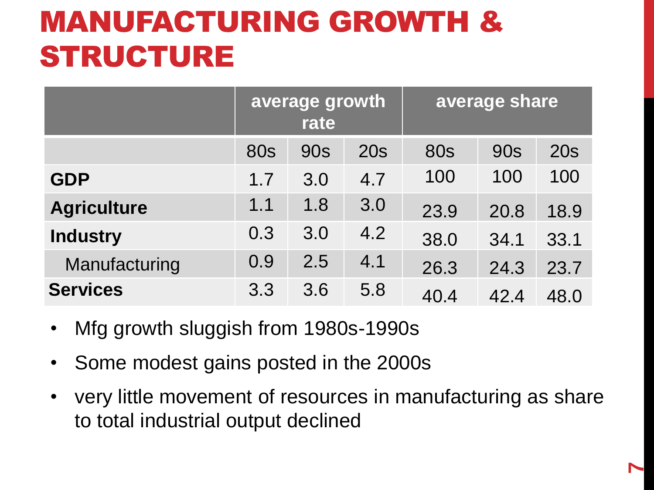## MANUFACTURING GROWTH & STRUCTURE

|                    |            | average growth<br>rate |     | average share |            |            |  |
|--------------------|------------|------------------------|-----|---------------|------------|------------|--|
|                    | <b>80s</b> | <b>90s</b>             | 20s | <b>80s</b>    | <b>90s</b> | <b>20s</b> |  |
| <b>GDP</b>         | 1.7        | 3.0                    | 4.7 | 100           | 100        | 100        |  |
| <b>Agriculture</b> | 1.1        | 1.8                    | 3.0 | 23.9          | 20.8       | 18.9       |  |
| <b>Industry</b>    | 0.3        | 3.0                    | 4.2 | 38.0          | 34.1       | 33.1       |  |
| Manufacturing      | 0.9        | 2.5                    | 4.1 | 26.3          | 24.3       | 23.7       |  |
| <b>Services</b>    | 3.3        | 3.6                    | 5.8 | 40.4          | 42.4       | 48.0       |  |

- Mfg growth sluggish from 1980s-1990s
- Some modest gains posted in the 2000s
- very little movement of resources in manufacturing as share to total industrial output declined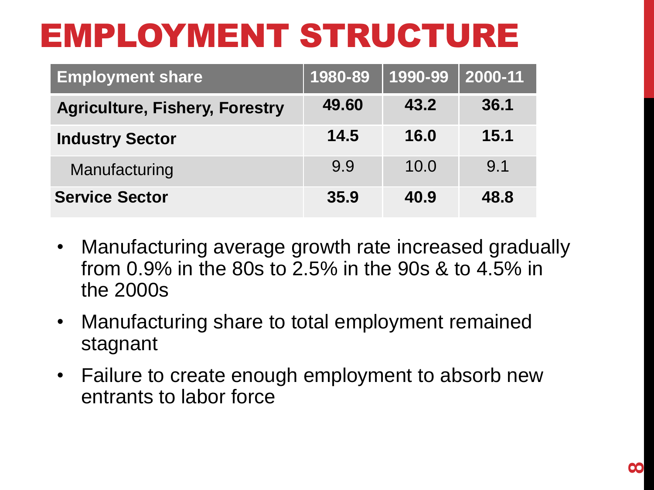# EMPLOYMENT STRUCTURE

| <b>Employment share</b>               | 1980-89 | 1990-99 | 2000-11 |
|---------------------------------------|---------|---------|---------|
| <b>Agriculture, Fishery, Forestry</b> | 49.60   | 43.2    | 36.1    |
| <b>Industry Sector</b>                | 14.5    | 16.0    | 15.1    |
| Manufacturing                         | 9.9     | 10.0    | 9.1     |
| <b>Service Sector</b>                 | 35.9    | 40.9    | 48.8    |

- Manufacturing average growth rate increased gradually from 0.9% in the 80s to 2.5% in the 90s & to 4.5% in the 2000s
- Manufacturing share to total employment remained stagnant
- Failure to create enough employment to absorb new entrants to labor force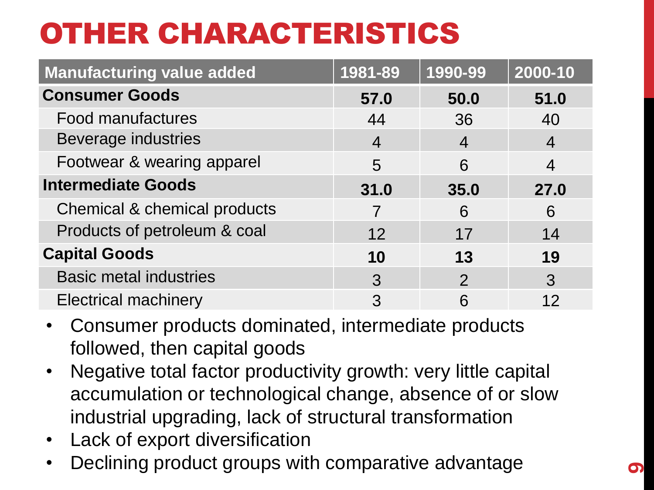## OTHER CHARACTERISTICS

| <b>Manufacturing value added</b> | 1981-89        | 1990-99          | 2000-10        |
|----------------------------------|----------------|------------------|----------------|
| <b>Consumer Goods</b>            | 57.0           | 50.0             | 51.0           |
| <b>Food manufactures</b>         | 44             | 36               | 40             |
| <b>Beverage industries</b>       | $\overline{4}$ | $\boldsymbol{4}$ | $\overline{4}$ |
| Footwear & wearing apparel       | 5              | 6                | 4              |
| <b>Intermediate Goods</b>        | 31.0           | 35.0             | 27.0           |
| Chemical & chemical products     | 7              | 6                | 6              |
| Products of petroleum & coal     | 12             | 17               | 14             |
| <b>Capital Goods</b>             | 10             | 13               | 19             |
| <b>Basic metal industries</b>    | 3              | $\mathcal{P}$    | 3              |
| <b>Electrical machinery</b>      | 3              | 6                | 12             |

- Consumer products dominated, intermediate products followed, then capital goods
- Negative total factor productivity growth: very little capital accumulation or technological change, absence of or slow industrial upgrading, lack of structural transformation
- Lack of export diversification
- Declining product groups with comparative advantage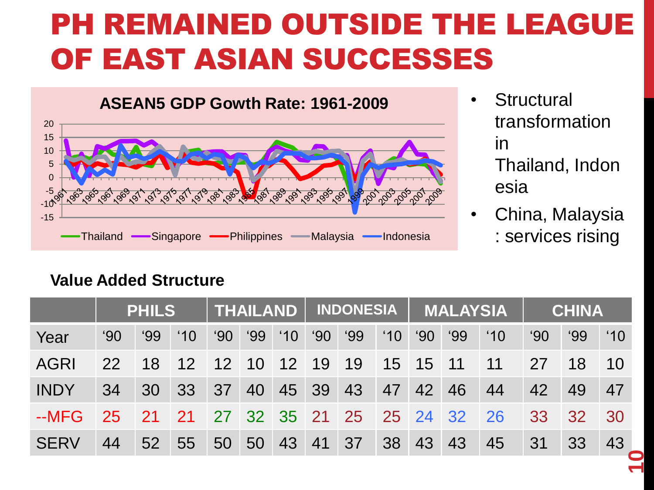### PH REMAINED OUTSIDE THE LEAGUE OF EAST ASIAN SUCCESSES

#### **ASEAN5 GDP Gowth Rate: 1961-2009**



- **Structural** transformation in Thailand, Indon esia
- China, Malaysia : services rising

#### **Value Added Structure**

|             |              | <b>PHILS</b>  |               |              |            |               |              | THAILAND   INDONESIA    |               |              | <b>MALAYSIA</b> |               |              | <b>CHINA</b>    |               |
|-------------|--------------|---------------|---------------|--------------|------------|---------------|--------------|-------------------------|---------------|--------------|-----------------|---------------|--------------|-----------------|---------------|
| Year        | $90^{\circ}$ | $^{\circ}$ 99 | $^{\prime}10$ | $^{\circ}90$ | <b>'99</b> | $^{\prime}10$ | $^{\circ}90$ | $^{\circ}99$            | $^{\prime}10$ | $90^{\circ}$ | <b>'99</b>      | $^{\prime}10$ | $90^{\circ}$ | 99'             | $^{\prime}10$ |
| <b>AGRI</b> | 22           | 18            | 12            |              | 12 10 12   |               | 19           | 19                      |               | 15 15 11     |                 | 11            | 27           | 18              | 10            |
| <b>INDY</b> | 34           | 30            | 33            | 37           | 40         | 45            | 39           | 43                      | 47            | 42           | 46              | 44            | 42           | 49              | 47            |
| $-MFG$      | 25           | 21            | <b>21</b>     |              |            |               |              | 27 32 35 21 25 25 24 32 |               |              |                 | 26            | 33           | 32 <sup>°</sup> | 30            |
| <b>SERV</b> | 44           | 52            | 55            | 50           | 50         | 43            | 41           | 37                      | 38            | 43           | 43              | 45            | 31           | 33              | 43            |
|             |              |               |               |              |            |               |              |                         |               |              |                 |               |              |                 |               |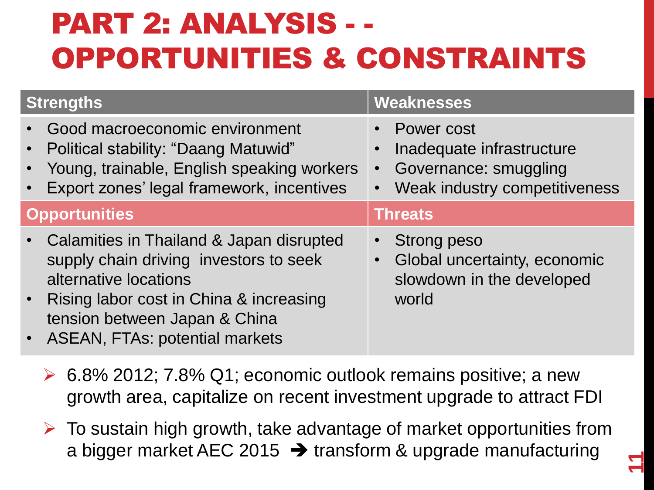## PART 2: ANALYSIS - - OPPORTUNITIES & CONSTRAINTS

| Strengths                                                                                                                                                                                                                       | <b>Weaknesses</b>                                                                                     |
|---------------------------------------------------------------------------------------------------------------------------------------------------------------------------------------------------------------------------------|-------------------------------------------------------------------------------------------------------|
| Good macroeconomic environment<br>• Political stability: "Daang Matuwid"<br>• Young, trainable, English speaking workers<br>Export zones' legal framework, incentives<br>$\bullet$                                              | Power cost<br>Inadequate infrastructure<br>Governance: smuggling<br>Weak industry competitiveness     |
| <b>Opportunities</b>                                                                                                                                                                                                            | <b>Threats</b>                                                                                        |
| • Calamities in Thailand & Japan disrupted<br>supply chain driving investors to seek<br>alternative locations<br>• Rising labor cost in China & increasing<br>tension between Japan & China<br>• ASEAN, FTAs: potential markets | <b>Strong peso</b><br>$\bullet$<br>Global uncertainty, economic<br>slowdown in the developed<br>world |

- $\geq 6.8\%$  2012; 7.8% Q1; economic outlook remains positive; a new growth area, capitalize on recent investment upgrade to attract FDI
- $\triangleright$  To sustain high growth, take advantage of market opportunities from a bigger market AEC 2015  $\rightarrow$  transform & upgrade manufacturing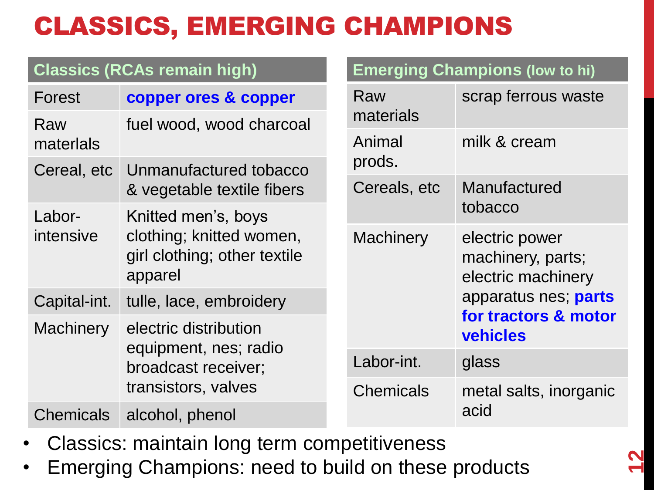#### CLASSICS, EMERGING CHAMPIONS

|                                     | <b>Classics (RCAs remain high)</b>                                  |                  | <b>Emerging Champions (low to hi)</b>                     |  |
|-------------------------------------|---------------------------------------------------------------------|------------------|-----------------------------------------------------------|--|
| Forest                              | copper ores & copper                                                | Raw<br>materials | scrap ferrous waste                                       |  |
| Raw<br>materlals                    | fuel wood, wood charcoal                                            | Animal           | milk & cream                                              |  |
|                                     | Cereal, etc Unmanufactured tobacco                                  | prods.           |                                                           |  |
|                                     | & vegetable textile fibers                                          | Cereals, etc     | Manufactured                                              |  |
| Labor-                              | Knitted men's, boys                                                 |                  | tobacco                                                   |  |
| intensive                           | clothing; knitted women,<br>girl clothing; other textile<br>apparel | <b>Machinery</b> | electric power<br>machinery, parts;<br>electric machinery |  |
| Capital-int.                        | tulle, lace, embroidery                                             |                  | apparatus nes; parts                                      |  |
| <b>Machinery</b>                    | electric distribution<br>equipment, nes; radio                      |                  | for tractors & motor<br><b>vehicles</b>                   |  |
|                                     | broadcast receiver;                                                 | Labor-int.       | glass                                                     |  |
|                                     | transistors, valves                                                 | <b>Chemicals</b> | metal salts, inorganic                                    |  |
| <b>Chemicals</b><br>alcohol, phenol |                                                                     |                  | acid                                                      |  |

- Classics: maintain long term competitiveness
- Emerging Champions: need to build on these products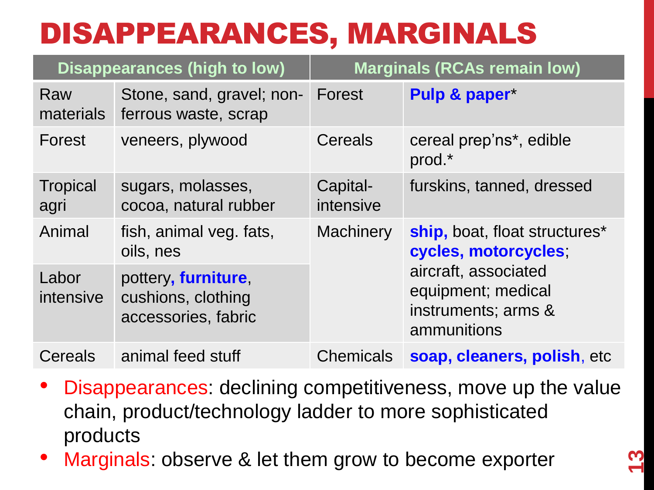## DISAPPEARANCES, MARGINALS

|                         | <b>Disappearances (high to low)</b>                              |                       | <b>Marginals (RCAs remain low)</b>                                               |
|-------------------------|------------------------------------------------------------------|-----------------------|----------------------------------------------------------------------------------|
| Raw<br>materials        | Stone, sand, gravel; non-<br>ferrous waste, scrap                | Forest                | Pulp & paper*                                                                    |
| Forest                  | veneers, plywood                                                 | Cereals               | cereal prep'ns*, edible<br>prod.*                                                |
| <b>Tropical</b><br>agri | sugars, molasses,<br>cocoa, natural rubber                       | Capital-<br>intensive | furskins, tanned, dressed                                                        |
| Animal                  | fish, animal veg. fats,<br>oils, nes                             | <b>Machinery</b>      | ship, boat, float structures*<br>cycles, motorcycles,                            |
| Labor<br>intensive      | pottery, furniture,<br>cushions, clothing<br>accessories, fabric |                       | aircraft, associated<br>equipment; medical<br>instruments; arms &<br>ammunitions |
| Cereals                 | animal feed stuff                                                | <b>Chemicals</b>      | soap, cleaners, polish, etc                                                      |

- Disappearances: declining competitiveness, move up the value chain, product/technology ladder to more sophisticated products
- Marginals: observe & let them grow to become exporter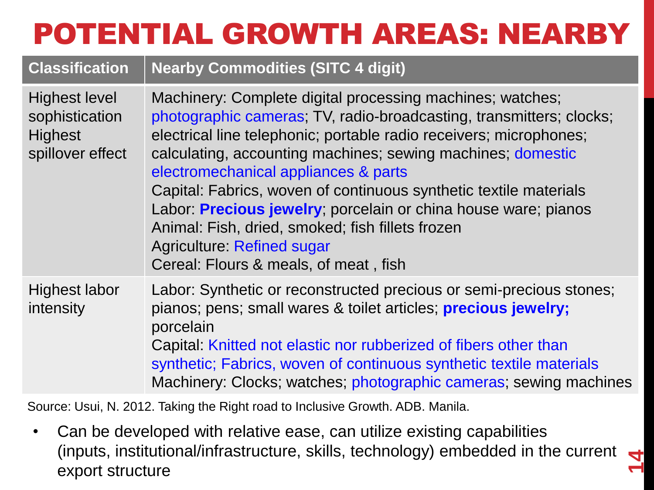# POTENTIAL GROWTH AREAS: NEARBY

#### **Classification Nearby Commodities (SITC 4 digit)**

| <b>Highest level</b><br>sophistication<br><b>Highest</b><br>spillover effect | Machinery: Complete digital processing machines; watches;<br>photographic cameras; TV, radio-broadcasting, transmitters; clocks;<br>electrical line telephonic; portable radio receivers; microphones;<br>calculating, accounting machines; sewing machines; domestic<br>electromechanical appliances & parts<br>Capital: Fabrics, woven of continuous synthetic textile materials<br>Labor: Precious jewelry; porcelain or china house ware; pianos<br>Animal: Fish, dried, smoked; fish fillets frozen<br><b>Agriculture: Refined sugar</b><br>Cereal: Flours & meals, of meat, fish |
|------------------------------------------------------------------------------|----------------------------------------------------------------------------------------------------------------------------------------------------------------------------------------------------------------------------------------------------------------------------------------------------------------------------------------------------------------------------------------------------------------------------------------------------------------------------------------------------------------------------------------------------------------------------------------|
| <b>Highest labor</b><br>intensity                                            | Labor: Synthetic or reconstructed precious or semi-precious stones;<br>pianos; pens; small wares & toilet articles; precious jewelry;<br>porcelain<br>Capital: Knitted not elastic nor rubberized of fibers other than<br>synthetic; Fabrics, woven of continuous synthetic textile materials<br>Machinery: Clocks; watches; photographic cameras; sewing machines                                                                                                                                                                                                                     |

Source: Usui, N. 2012. Taking the Right road to Inclusive Growth. ADB. Manila.

• Can be developed with relative ease, can utilize existing capabilities (inputs, institutional/infrastructure, skills, technology) embedded in the current export structure

**14**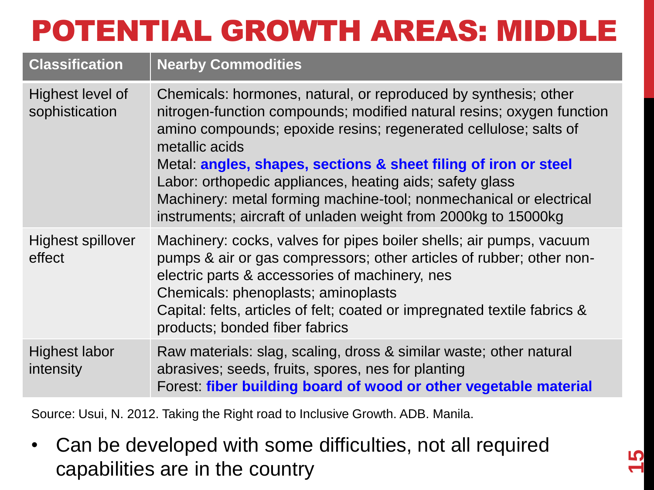## POTENTIAL GROWTH AREAS: MIDDLE

| <b>Classification</b>              | <b>Nearby Commodities</b>                                                                                                                                                                                                                                                                                                                                                                                                                                                                            |
|------------------------------------|------------------------------------------------------------------------------------------------------------------------------------------------------------------------------------------------------------------------------------------------------------------------------------------------------------------------------------------------------------------------------------------------------------------------------------------------------------------------------------------------------|
| Highest level of<br>sophistication | Chemicals: hormones, natural, or reproduced by synthesis; other<br>nitrogen-function compounds; modified natural resins; oxygen function<br>amino compounds; epoxide resins; regenerated cellulose; salts of<br>metallic acids<br>Metal angles, shapes, sections & sheet filing of iron or steel<br>Labor: orthopedic appliances, heating aids; safety glass<br>Machinery: metal forming machine-tool; nonmechanical or electrical<br>instruments; aircraft of unladen weight from 2000kg to 15000kg |
| <b>Highest spillover</b><br>effect | Machinery: cocks, valves for pipes boiler shells; air pumps, vacuum<br>pumps & air or gas compressors; other articles of rubber; other non-<br>electric parts & accessories of machinery, nes<br>Chemicals: phenoplasts; aminoplasts<br>Capital: felts, articles of felt; coated or impregnated textile fabrics &<br>products; bonded fiber fabrics                                                                                                                                                  |
| <b>Highest labor</b><br>intensity  | Raw materials: slag, scaling, dross & similar waste; other natural<br>abrasives; seeds, fruits, spores, nes for planting<br>Forest fiber building board of wood or other vegetable material                                                                                                                                                                                                                                                                                                          |

Source: Usui, N. 2012. Taking the Right road to Inclusive Growth. ADB. Manila.

• Can be developed with some difficulties, not all required capabilities are in the country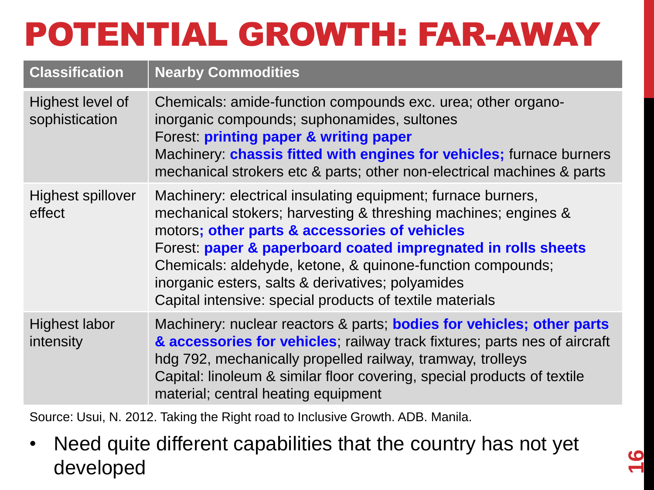# POTENTIAL GROWTH: FAR-AWAY

| <b>Classification</b>              | <b>Nearby Commodities</b>                                                                                                                                                                                                                                                                                                                                                                                                       |
|------------------------------------|---------------------------------------------------------------------------------------------------------------------------------------------------------------------------------------------------------------------------------------------------------------------------------------------------------------------------------------------------------------------------------------------------------------------------------|
| Highest level of<br>sophistication | Chemicals: amide-function compounds exc. urea; other organo-<br>inorganic compounds; suphonamides, sultones<br>Forest: printing paper & writing paper<br>Machinery: chassis fitted with engines for vehicles; furnace burners<br>mechanical strokers etc & parts; other non-electrical machines & parts                                                                                                                         |
| Highest spillover<br>effect        | Machinery: electrical insulating equipment; furnace burners,<br>mechanical stokers; harvesting & threshing machines; engines &<br>motors; other parts & accessories of vehicles<br>Forest: paper & paperboard coated impregnated in rolls sheets<br>Chemicals: aldehyde, ketone, & quinone-function compounds;<br>inorganic esters, salts & derivatives; polyamides<br>Capital intensive: special products of textile materials |
| Highest labor<br>intensity         | Machinery: nuclear reactors & parts; <b>bodies for vehicles; other parts</b><br>& accessories for vehicles, railway track fixtures; parts nes of aircraft<br>hdg 792, mechanically propelled railway, tramway, trolleys<br>Capital: linoleum & similar floor covering, special products of textile<br>material; central heating equipment                                                                                       |

Source: Usui, N. 2012. Taking the Right road to Inclusive Growth. ADB. Manila.

• Need quite different capabilities that the country has not yet developed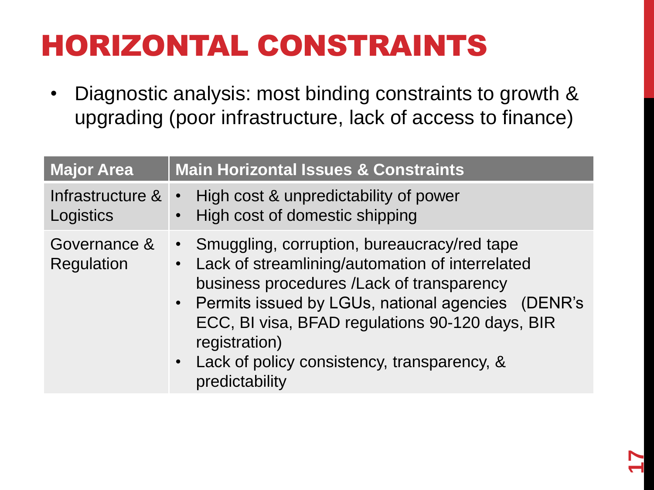# HORIZONTAL CONSTRAINTS

• Diagnostic analysis: most binding constraints to growth & upgrading (poor infrastructure, lack of access to finance)

| <b>Major Area</b>             | <b>Main Horizontal Issues &amp; Constraints</b>                                                                                                                                                                                                                                                                                             |
|-------------------------------|---------------------------------------------------------------------------------------------------------------------------------------------------------------------------------------------------------------------------------------------------------------------------------------------------------------------------------------------|
| Infrastructure &<br>Logistics | High cost & unpredictability of power<br>$\bullet$<br>High cost of domestic shipping                                                                                                                                                                                                                                                        |
| Governance &<br>Regulation    | • Smuggling, corruption, bureaucracy/red tape<br>Lack of streamlining/automation of interrelated<br>business procedures /Lack of transparency<br>• Permits issued by LGUs, national agencies (DENR's<br>ECC, BI visa, BFAD regulations 90-120 days, BIR<br>registration)<br>• Lack of policy consistency, transparency, &<br>predictability |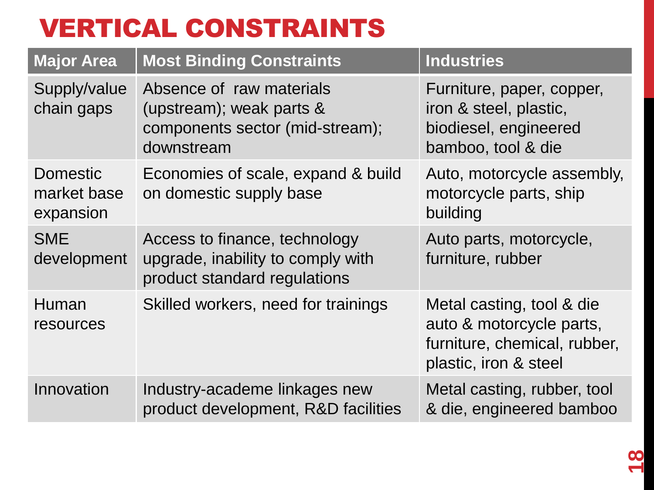#### VERTICAL CONSTRAINTS

| <b>Major Area</b>                           | <b>Most Binding Constraints</b>                                                                       | <b>Industries</b>                                                                                              |
|---------------------------------------------|-------------------------------------------------------------------------------------------------------|----------------------------------------------------------------------------------------------------------------|
| Supply/value<br>chain gaps                  | Absence of raw materials<br>(upstream); weak parts &<br>components sector (mid-stream);<br>downstream | Furniture, paper, copper,<br>iron & steel, plastic,<br>biodiesel, engineered<br>bamboo, tool & die             |
| <b>Domestic</b><br>market base<br>expansion | Economies of scale, expand & build<br>on domestic supply base                                         | Auto, motorcycle assembly,<br>motorcycle parts, ship<br>building                                               |
| <b>SME</b><br>development                   | Access to finance, technology<br>upgrade, inability to comply with<br>product standard regulations    | Auto parts, motorcycle,<br>furniture, rubber                                                                   |
| Human<br>resources                          | Skilled workers, need for trainings                                                                   | Metal casting, tool & die<br>auto & motorcycle parts,<br>furniture, chemical, rubber,<br>plastic, iron & steel |
| Innovation                                  | Industry-academe linkages new<br>product development, R&D facilities                                  | Metal casting, rubber, tool<br>& die, engineered bamboo                                                        |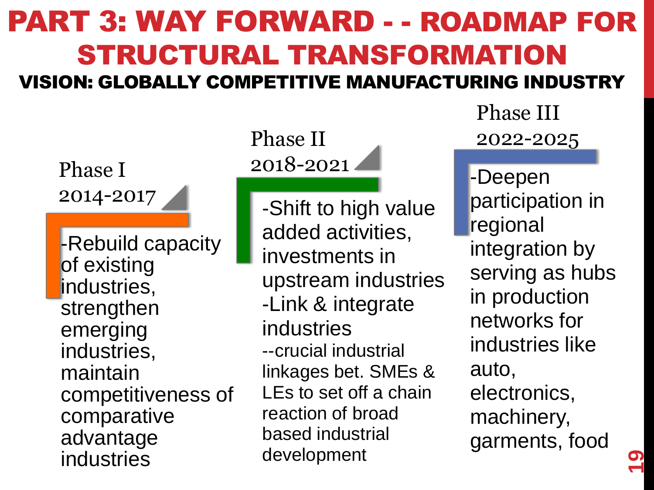#### PART 3: WAY FORWARD - - ROADMAP FOR STRUCTURAL TRANSFORMATION VISION: GLOBALLY COMPETITIVE MANUFACTURING INDUSTRY

Phase I 2014-2017

-Rebuild capacity of existing industries, strengthen emerging industries, maintain competitiveness of comparative advantage industries

#### Phase II 2018-2021

-Shift to high value added activities, investments in upstream industries -Link & integrate industries --crucial industrial linkages bet. SMEs & LEs to set off a chain reaction of broad based industrial development

Phase III 2022-2025

-Deepen participation in regional integration by serving as hubs in production networks for industries like auto, electronics, machinery, garments, food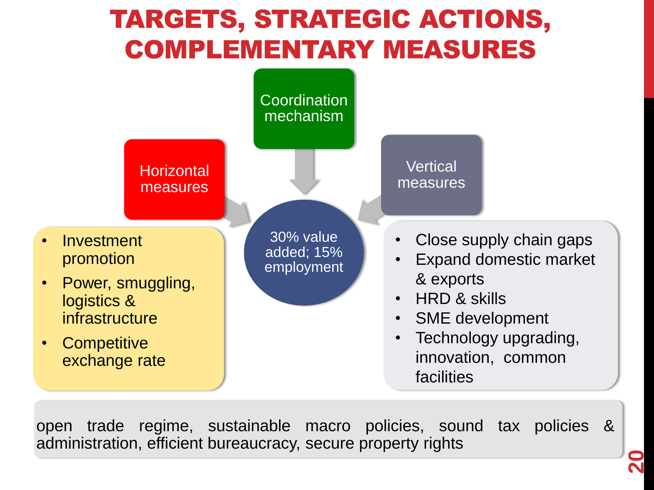#### TARGETS, STRATEGIC ACTIONS, COMPLEMENTARY MEASURES



open trade regime, sustainable macro policies, sound tax policies & administration, efficient bureaucracy, secure property rights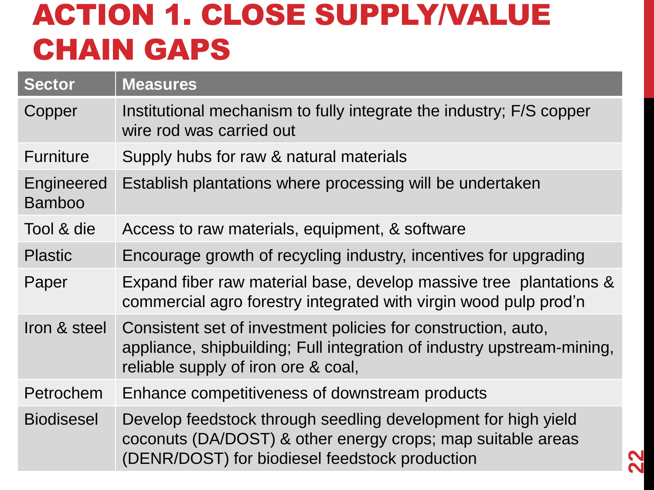### ACTION 1. CLOSE SUPPLY/VALUE CHAIN GAPS

| <b>Sector</b>               | <b>Measures</b>                                                                                                                                                                |
|-----------------------------|--------------------------------------------------------------------------------------------------------------------------------------------------------------------------------|
| Copper                      | Institutional mechanism to fully integrate the industry; F/S copper<br>wire rod was carried out                                                                                |
| <b>Furniture</b>            | Supply hubs for raw & natural materials                                                                                                                                        |
| Engineered<br><b>Bamboo</b> | Establish plantations where processing will be undertaken                                                                                                                      |
| Tool & die                  | Access to raw materials, equipment, & software                                                                                                                                 |
| <b>Plastic</b>              | Encourage growth of recycling industry, incentives for upgrading                                                                                                               |
| Paper                       | Expand fiber raw material base, develop massive tree plantations &<br>commercial agro forestry integrated with virgin wood pulp prod'n                                         |
| Iron & steel                | Consistent set of investment policies for construction, auto,<br>appliance, shipbuilding; Full integration of industry upstream-mining,<br>reliable supply of iron ore & coal, |
| Petrochem                   | Enhance competitiveness of downstream products                                                                                                                                 |
| <b>Biodisesel</b>           | Develop feedstock through seedling development for high yield<br>coconuts (DA/DOST) & other energy crops; map suitable areas<br>(DENR/DOST) for biodiesel feedstock production |

**22**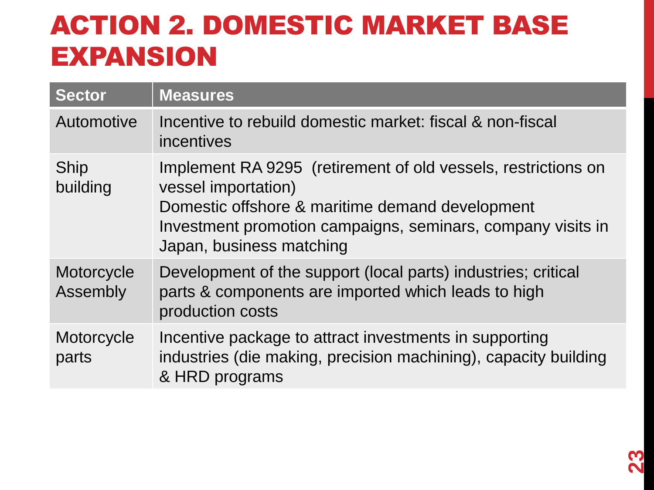#### ACTION 2. DOMESTIC MARKET BASE EXPANSION

| <b>Sector</b>          | <b>Measures</b>                                                                                                                                                                                                                    |
|------------------------|------------------------------------------------------------------------------------------------------------------------------------------------------------------------------------------------------------------------------------|
| Automotive             | Incentive to rebuild domestic market: fiscal & non-fiscal<br>incentives                                                                                                                                                            |
| Ship<br>building       | Implement RA 9295 (retirement of old vessels, restrictions on<br>vessel importation)<br>Domestic offshore & maritime demand development<br>Investment promotion campaigns, seminars, company visits in<br>Japan, business matching |
| Motorcycle<br>Assembly | Development of the support (local parts) industries; critical<br>parts & components are imported which leads to high<br>production costs                                                                                           |
| Motorcycle<br>parts    | Incentive package to attract investments in supporting<br>industries (die making, precision machining), capacity building<br>& HRD programs                                                                                        |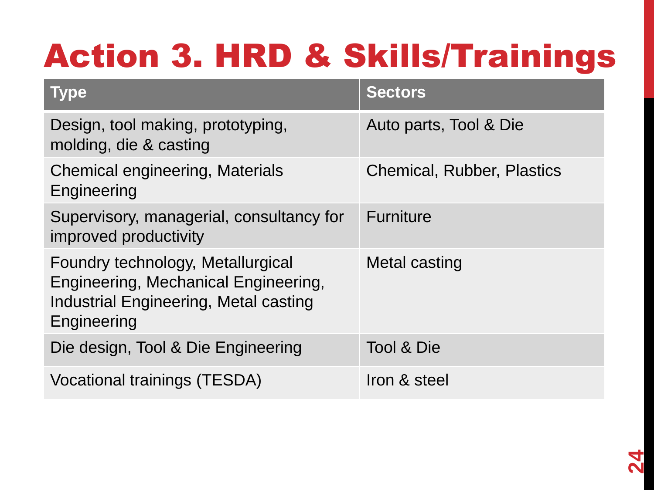# Action 3. HRD & Skills/Trainings

| <b>Type</b>                                                                                                                       | <b>Sectors</b>                    |
|-----------------------------------------------------------------------------------------------------------------------------------|-----------------------------------|
| Design, tool making, prototyping,<br>molding, die & casting                                                                       | Auto parts, Tool & Die            |
| <b>Chemical engineering, Materials</b><br>Engineering                                                                             | <b>Chemical, Rubber, Plastics</b> |
| Supervisory, managerial, consultancy for<br>improved productivity                                                                 | <b>Furniture</b>                  |
| Foundry technology, Metallurgical<br>Engineering, Mechanical Engineering,<br>Industrial Engineering, Metal casting<br>Engineering | Metal casting                     |
| Die design, Tool & Die Engineering                                                                                                | Tool & Die                        |
| Vocational trainings (TESDA)                                                                                                      | Iron & steel                      |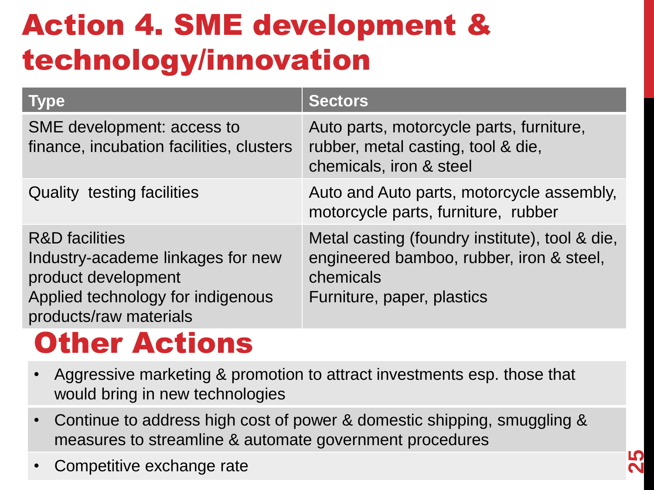# Action 4. SME development & technology/innovation

| <b>Type</b>                                                                                                                                          | <b>Sectors</b>                                                                                                                        |
|------------------------------------------------------------------------------------------------------------------------------------------------------|---------------------------------------------------------------------------------------------------------------------------------------|
| SME development: access to<br>finance, incubation facilities, clusters                                                                               | Auto parts, motorcycle parts, furniture,<br>rubber, metal casting, tool & die,<br>chemicals, iron & steel                             |
| <b>Quality testing facilities</b>                                                                                                                    | Auto and Auto parts, motorcycle assembly,<br>motorcycle parts, furniture, rubber                                                      |
| <b>R&amp;D</b> facilities<br>Industry-academe linkages for new<br>product development<br>Applied technology for indigenous<br>products/raw materials | Metal casting (foundry institute), tool & die,<br>engineered bamboo, rubber, iron & steel,<br>chemicals<br>Furniture, paper, plastics |

#### **Other Actions**

- Aggressive marketing & promotion to attract investments esp. those that would bring in new technologies
- Continue to address high cost of power & domestic shipping, smuggling & measures to streamline & automate government procedures
- Competitive exchange rate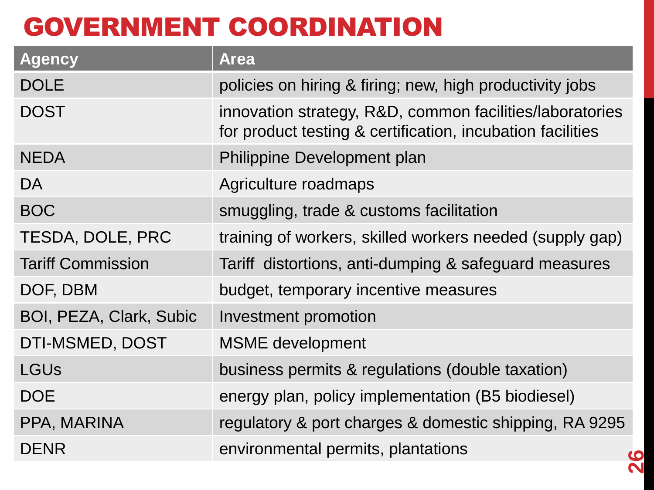#### GOVERNMENT COORDINATION

| <b>Agency</b>                  | <b>Area</b>                                                                                                            |
|--------------------------------|------------------------------------------------------------------------------------------------------------------------|
| <b>DOLE</b>                    | policies on hiring & firing; new, high productivity jobs                                                               |
| <b>DOST</b>                    | innovation strategy, R&D, common facilities/laboratories<br>for product testing & certification, incubation facilities |
| <b>NEDA</b>                    | Philippine Development plan                                                                                            |
| DA                             | Agriculture roadmaps                                                                                                   |
| <b>BOC</b>                     | smuggling, trade & customs facilitation                                                                                |
| TESDA, DOLE, PRC               | training of workers, skilled workers needed (supply gap)                                                               |
| <b>Tariff Commission</b>       | Tariff distortions, anti-dumping & safeguard measures                                                                  |
| DOF, DBM                       | budget, temporary incentive measures                                                                                   |
| <b>BOI, PEZA, Clark, Subic</b> | Investment promotion                                                                                                   |
| DTI-MSMED, DOST                | <b>MSME</b> development                                                                                                |
| <b>LGUs</b>                    | business permits & regulations (double taxation)                                                                       |
| <b>DOE</b>                     | energy plan, policy implementation (B5 biodiesel)                                                                      |
| PPA, MARINA                    | regulatory & port charges & domestic shipping, RA 9295                                                                 |
| DENR                           | environmental permits, plantations                                                                                     |

**26**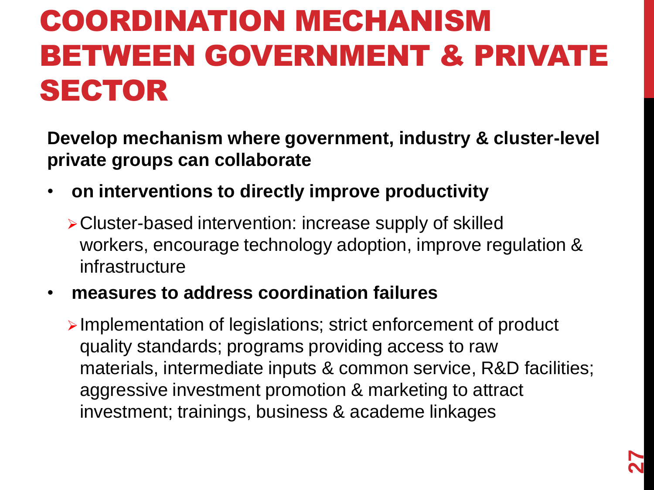## COORDINATION MECHANISM BETWEEN GOVERNMENT & PRIVATE SECTOR

**Develop mechanism where government, industry & cluster-level private groups can collaborate** 

• **on interventions to directly improve productivity**

Cluster-based intervention: increase supply of skilled workers, encourage technology adoption, improve regulation & infrastructure

#### • **measures to address coordination failures**

Implementation of legislations; strict enforcement of product quality standards; programs providing access to raw materials, intermediate inputs & common service, R&D facilities; aggressive investment promotion & marketing to attract investment; trainings, business & academe linkages